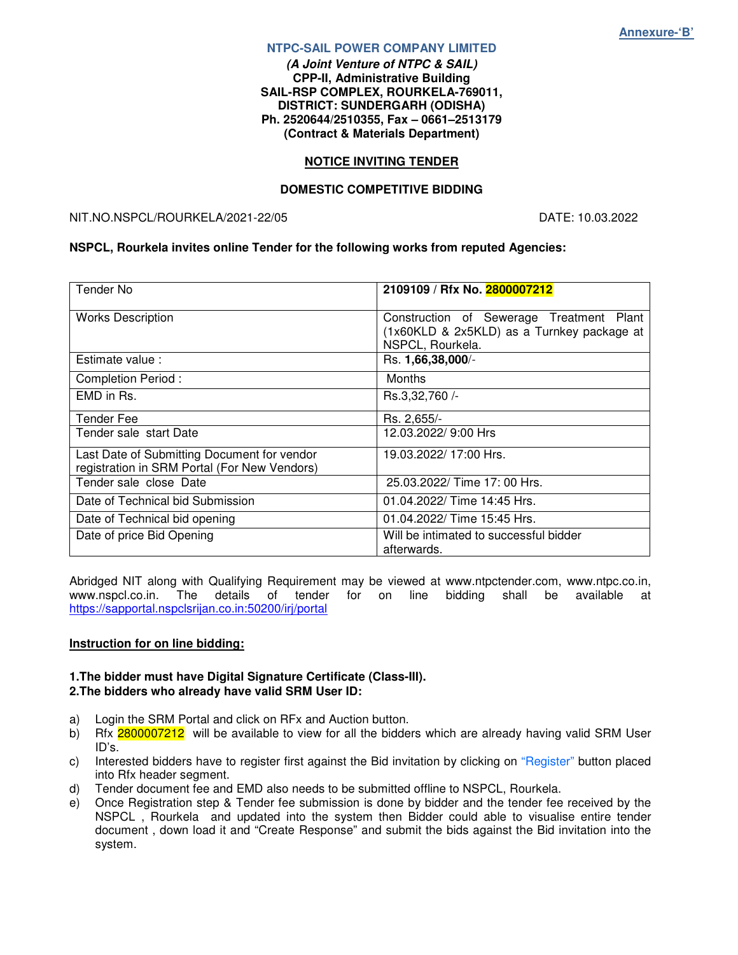### **NTPC-SAIL POWER COMPANY LIMITED**

**(A Joint Venture of NTPC & SAIL) CPP-II, Administrative Building SAIL-RSP COMPLEX, ROURKELA-769011, DISTRICT: SUNDERGARH (ODISHA) Ph. 2520644/2510355, Fax – 0661–2513179 (Contract & Materials Department)** 

### **NOTICE INVITING TENDER**

## **DOMESTIC COMPETITIVE BIDDING**

#### NIT.NO.NSPCL/ROURKELA/2021-22/05 DATE: 10.03.2022

#### **NSPCL, Rourkela invites online Tender for the following works from reputed Agencies:**

| Tender No                                                                                   | 2109109 / Rfx No. 2800007212                                                                               |
|---------------------------------------------------------------------------------------------|------------------------------------------------------------------------------------------------------------|
| <b>Works Description</b>                                                                    | Construction of Sewerage Treatment Plant<br>(1x60KLD & 2x5KLD) as a Turnkey package at<br>NSPCL, Rourkela. |
| Estimate value:                                                                             | Rs. 1,66,38,000/-                                                                                          |
| <b>Completion Period:</b>                                                                   | Months                                                                                                     |
| EMD in Rs.                                                                                  | Rs.3,32,760 /-                                                                                             |
| <b>Tender Fee</b>                                                                           | Rs. 2,655/-                                                                                                |
| Tender sale start Date                                                                      | 12.03.2022/ 9:00 Hrs                                                                                       |
| Last Date of Submitting Document for vendor<br>registration in SRM Portal (For New Vendors) | 19.03.2022/ 17:00 Hrs.                                                                                     |
| Tender sale close Date                                                                      | 25.03.2022/ Time 17: 00 Hrs.                                                                               |
| Date of Technical bid Submission                                                            | 01.04.2022/ Time 14:45 Hrs.                                                                                |
| Date of Technical bid opening                                                               | 01.04.2022/ Time 15:45 Hrs.                                                                                |
| Date of price Bid Opening                                                                   | Will be intimated to successful bidder<br>afterwards.                                                      |

Abridged NIT along with Qualifying Requirement may be viewed at www.ntpctender.com, www.ntpc.co.in, www.nspcl.co.in. The details of tender for on line bidding shall be available at https://sapportal.nspclsrijan.co.in:50200/irj/portal

### **Instruction for on line bidding:**

### **1.The bidder must have Digital Signature Certificate (Class-III). 2.The bidders who already have valid SRM User ID:**

- a) Login the SRM Portal and click on RFx and Auction button.
- b) Rfx 2800007212 will be available to view for all the bidders which are already having valid SRM User ID's.
- c) Interested bidders have to register first against the Bid invitation by clicking on "Register" button placed into Rfx header segment.
- d) Tender document fee and EMD also needs to be submitted offline to NSPCL, Rourkela.
- e) Once Registration step & Tender fee submission is done by bidder and the tender fee received by the NSPCL , Rourkela and updated into the system then Bidder could able to visualise entire tender document , down load it and "Create Response" and submit the bids against the Bid invitation into the system.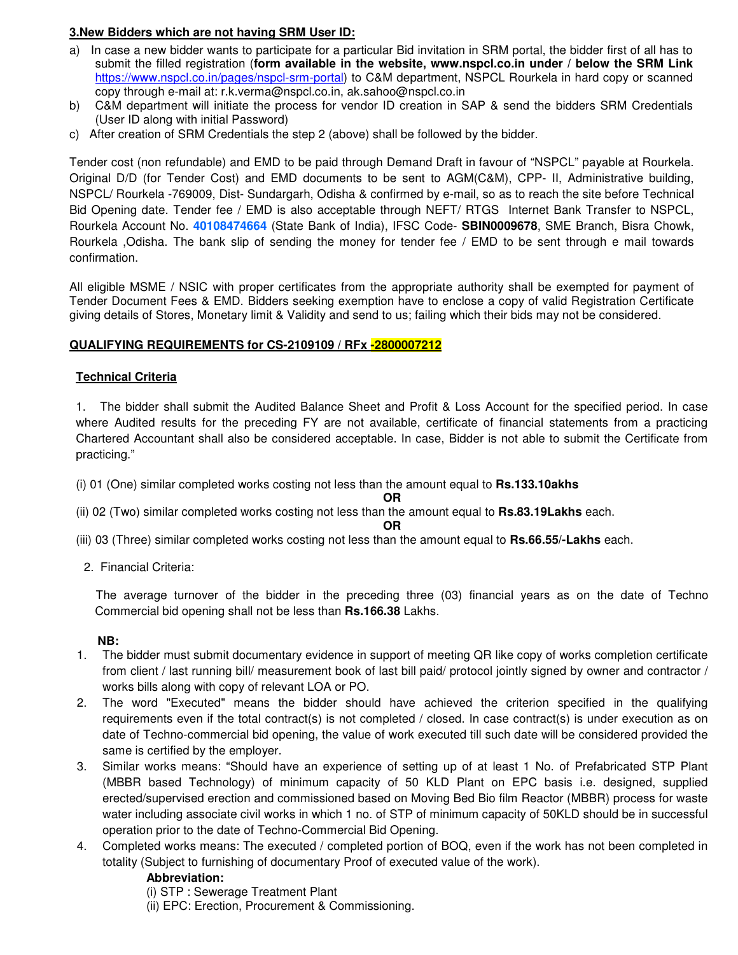# **3.New Bidders which are not having SRM User ID:**

- a) In case a new bidder wants to participate for a particular Bid invitation in SRM portal, the bidder first of all has to submit the filled registration (**form available in the website, www.nspcl.co.in under / below the SRM Link**  https://www.nspcl.co.in/pages/nspcl-srm-portal) to C&M department, NSPCL Rourkela in hard copy or scanned copy through e-mail at: r.k.verma@nspcl.co.in, ak.sahoo@nspcl.co.in
- b) C&M department will initiate the process for vendor ID creation in SAP & send the bidders SRM Credentials (User ID along with initial Password)
- c) After creation of SRM Credentials the step 2 (above) shall be followed by the bidder.

Tender cost (non refundable) and EMD to be paid through Demand Draft in favour of "NSPCL" payable at Rourkela. Original D/D (for Tender Cost) and EMD documents to be sent to AGM(C&M), CPP- II, Administrative building, NSPCL/ Rourkela -769009, Dist- Sundargarh, Odisha & confirmed by e-mail, so as to reach the site before Technical Bid Opening date. Tender fee / EMD is also acceptable through NEFT/ RTGS Internet Bank Transfer to NSPCL, Rourkela Account No. **40108474664** (State Bank of India), IFSC Code- **SBIN0009678**, SME Branch, Bisra Chowk, Rourkela ,Odisha. The bank slip of sending the money for tender fee / EMD to be sent through e mail towards confirmation.

All eligible MSME / NSIC with proper certificates from the appropriate authority shall be exempted for payment of Tender Document Fees & EMD. Bidders seeking exemption have to enclose a copy of valid Registration Certificate giving details of Stores, Monetary limit & Validity and send to us; failing which their bids may not be considered.

# **QUALIFYING REQUIREMENTS for CS-2109109 / RFx -2800007212**

# **Technical Criteria**

1. The bidder shall submit the Audited Balance Sheet and Profit & Loss Account for the specified period. In case where Audited results for the preceding FY are not available, certificate of financial statements from a practicing Chartered Accountant shall also be considered acceptable. In case, Bidder is not able to submit the Certificate from practicing."

(i) 01 (One) similar completed works costing not less than the amount equal to **Rs.133.10akhs** 

**OR** 

(ii) 02 (Two) similar completed works costing not less than the amount equal to **Rs.83.19Lakhs** each.

**OR** 

- (iii) 03 (Three) similar completed works costing not less than the amount equal to **Rs.66.55/-Lakhs** each.
- 2. Financial Criteria:

 The average turnover of the bidder in the preceding three (03) financial years as on the date of Techno Commercial bid opening shall not be less than **Rs.166.38** Lakhs.

# **NB:**

- 1. The bidder must submit documentary evidence in support of meeting QR like copy of works completion certificate from client / last running bill/ measurement book of last bill paid/ protocol jointly signed by owner and contractor / works bills along with copy of relevant LOA or PO.
- 2. The word "Executed" means the bidder should have achieved the criterion specified in the qualifying requirements even if the total contract(s) is not completed / closed. In case contract(s) is under execution as on date of Techno-commercial bid opening, the value of work executed till such date will be considered provided the same is certified by the employer.
- 3. Similar works means: "Should have an experience of setting up of at least 1 No. of Prefabricated STP Plant (MBBR based Technology) of minimum capacity of 50 KLD Plant on EPC basis i.e. designed, supplied erected/supervised erection and commissioned based on Moving Bed Bio film Reactor (MBBR) process for waste water including associate civil works in which 1 no. of STP of minimum capacity of 50KLD should be in successful operation prior to the date of Techno-Commercial Bid Opening.
- 4. Completed works means: The executed / completed portion of BOQ, even if the work has not been completed in totality (Subject to furnishing of documentary Proof of executed value of the work).

# **Abbreviation:**

(i) STP : Sewerage Treatment Plant

(ii) EPC: Erection, Procurement & Commissioning.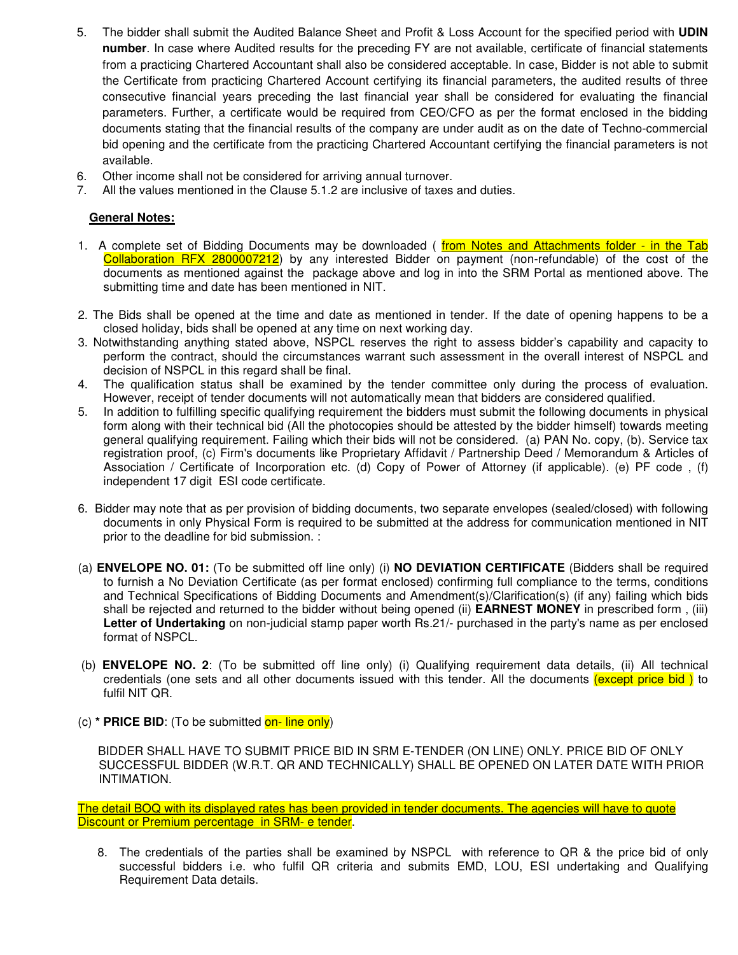- 5. The bidder shall submit the Audited Balance Sheet and Profit & Loss Account for the specified period with **UDIN number**. In case where Audited results for the preceding FY are not available, certificate of financial statements from a practicing Chartered Accountant shall also be considered acceptable. In case, Bidder is not able to submit the Certificate from practicing Chartered Account certifying its financial parameters, the audited results of three consecutive financial years preceding the last financial year shall be considered for evaluating the financial parameters. Further, a certificate would be required from CEO/CFO as per the format enclosed in the bidding documents stating that the financial results of the company are under audit as on the date of Techno-commercial bid opening and the certificate from the practicing Chartered Accountant certifying the financial parameters is not available.
- 6. Other income shall not be considered for arriving annual turnover.
- 7. All the values mentioned in the Clause 5.1.2 are inclusive of taxes and duties.

# **General Notes:**

- 1. A complete set of Bidding Documents may be downloaded (from Notes and Attachments folder in the Tab Collaboration RFX 2800007212) by any interested Bidder on payment (non-refundable) of the cost of the documents as mentioned against the package above and log in into the SRM Portal as mentioned above. The submitting time and date has been mentioned in NIT.
- 2. The Bids shall be opened at the time and date as mentioned in tender. If the date of opening happens to be a closed holiday, bids shall be opened at any time on next working day.
- 3. Notwithstanding anything stated above, NSPCL reserves the right to assess bidder's capability and capacity to perform the contract, should the circumstances warrant such assessment in the overall interest of NSPCL and decision of NSPCL in this regard shall be final.
- 4. The qualification status shall be examined by the tender committee only during the process of evaluation. However, receipt of tender documents will not automatically mean that bidders are considered qualified.
- 5. In addition to fulfilling specific qualifying requirement the bidders must submit the following documents in physical form along with their technical bid (All the photocopies should be attested by the bidder himself) towards meeting general qualifying requirement. Failing which their bids will not be considered. (a) PAN No. copy, (b). Service tax registration proof, (c) Firm's documents like Proprietary Affidavit / Partnership Deed / Memorandum & Articles of Association / Certificate of Incorporation etc. (d) Copy of Power of Attorney (if applicable). (e) PF code , (f) independent 17 digit ESI code certificate.
- 6. Bidder may note that as per provision of bidding documents, two separate envelopes (sealed/closed) with following documents in only Physical Form is required to be submitted at the address for communication mentioned in NIT prior to the deadline for bid submission. :
- (a) **ENVELOPE NO. 01:** (To be submitted off line only) (i) **NO DEVIATION CERTIFICATE** (Bidders shall be required to furnish a No Deviation Certificate (as per format enclosed) confirming full compliance to the terms, conditions and Technical Specifications of Bidding Documents and Amendment(s)/Clarification(s) (if any) failing which bids shall be rejected and returned to the bidder without being opened (ii) **EARNEST MONEY** in prescribed form , (iii) Letter of Undertaking on non-judicial stamp paper worth Rs.21/- purchased in the party's name as per enclosed format of NSPCL.
- (b) **ENVELOPE NO. 2**: (To be submitted off line only) (i) Qualifying requirement data details, (ii) All technical credentials (one sets and all other documents issued with this tender. All the documents (except price bid) to fulfil NIT QR.
- (c) **\* PRICE BID**: (To be submitted on- line only)

 BIDDER SHALL HAVE TO SUBMIT PRICE BID IN SRM E-TENDER (ON LINE) ONLY. PRICE BID OF ONLY SUCCESSFUL BIDDER (W.R.T. QR AND TECHNICALLY) SHALL BE OPENED ON LATER DATE WITH PRIOR INTIMATION.

The detail BOQ with its displayed rates has been provided in tender documents. The agencies will have to quote Discount or Premium percentage in SRM- e tender.

8. The credentials of the parties shall be examined by NSPCL with reference to QR & the price bid of only successful bidders i.e. who fulfil QR criteria and submits EMD, LOU, ESI undertaking and Qualifying Requirement Data details.